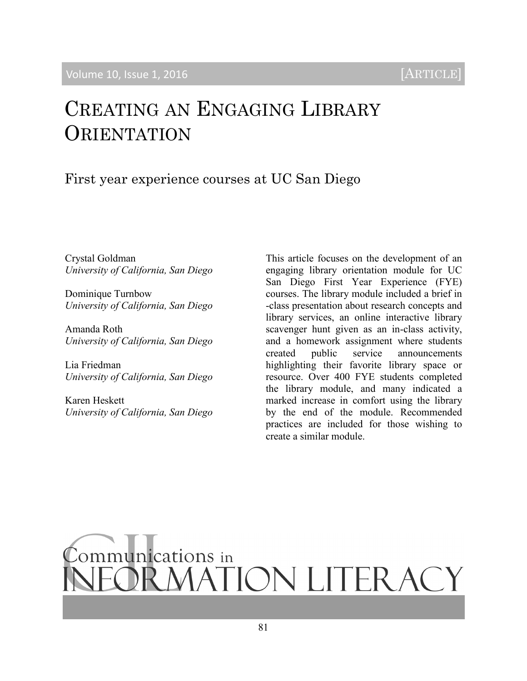# CREATING AN ENGAGING LIBRARY ORIENTATION

First year experience courses at UC San Diego

Crystal Goldman *University of California, San Diego*

Dominique Turnbow *University of California, San Diego*

Amanda Roth *University of California, San Diego*

Lia Friedman *University of California, San Diego*

Karen Heskett *University of California, San Diego* This article focuses on the development of an engaging library orientation module for UC San Diego First Year Experience (FYE) courses. The library module included a brief in -class presentation about research concepts and library services, an online interactive library scavenger hunt given as an in-class activity, and a homework assignment where students created public service announcements highlighting their favorite library space or resource. Over 400 FYE students completed the library module, and many indicated a marked increase in comfort using the library by the end of the module. Recommended practices are included for those wishing to create a similar module.

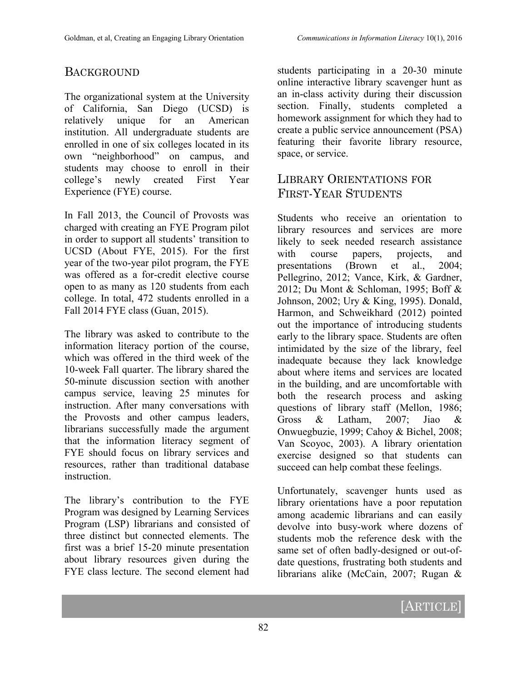# **BACKGROUND**

The organizational system at the University of California, San Diego (UCSD) is relatively unique for an American institution. All undergraduate students are enrolled in one of six colleges located in its own "neighborhood" on campus, and students may choose to enroll in their college's newly created First Year Experience (FYE) course.

In Fall 2013, the Council of Provosts was charged with creating an FYE Program pilot in order to support all students' transition to UCSD (About FYE, 2015). For the first year of the two-year pilot program, the FYE was offered as a for-credit elective course open to as many as 120 students from each college. In total, 472 students enrolled in a Fall 2014 FYE class (Guan, 2015).

The library was asked to contribute to the information literacy portion of the course, which was offered in the third week of the 10-week Fall quarter. The library shared the 50-minute discussion section with another campus service, leaving 25 minutes for instruction. After many conversations with the Provosts and other campus leaders, librarians successfully made the argument that the information literacy segment of FYE should focus on library services and resources, rather than traditional database **instruction** 

The library's contribution to the FYE Program was designed by Learning Services Program (LSP) librarians and consisted of three distinct but connected elements. The first was a brief 15-20 minute presentation about library resources given during the FYE class lecture. The second element had

students participating in a 20-30 minute online interactive library scavenger hunt as an in-class activity during their discussion section. Finally, students completed a homework assignment for which they had to create a public service announcement (PSA) featuring their favorite library resource, space, or service.

## LIBRARY ORIENTATIONS FOR FIRST-YEAR STUDENTS

Students who receive an orientation to library resources and services are more likely to seek needed research assistance with course papers, projects, and presentations (Brown et al., 2004; Pellegrino, 2012; Vance, Kirk, & Gardner, 2012; Du Mont & Schloman, 1995; Boff & Johnson, 2002; Ury & King, 1995). Donald, Harmon, and Schweikhard (2012) pointed out the importance of introducing students early to the library space. Students are often intimidated by the size of the library, feel inadequate because they lack knowledge about where items and services are located in the building, and are uncomfortable with both the research process and asking questions of library staff (Mellon, 1986; Gross & Latham, 2007; Jiao & Onwuegbuzie, 1999; Cahoy & Bichel, 2008; Van Scoyoc, 2003). A library orientation exercise designed so that students can succeed can help combat these feelings.

Unfortunately, scavenger hunts used as library orientations have a poor reputation among academic librarians and can easily devolve into busy-work where dozens of students mob the reference desk with the same set of often badly-designed or out-ofdate questions, frustrating both students and librarians alike (McCain, 2007; Rugan &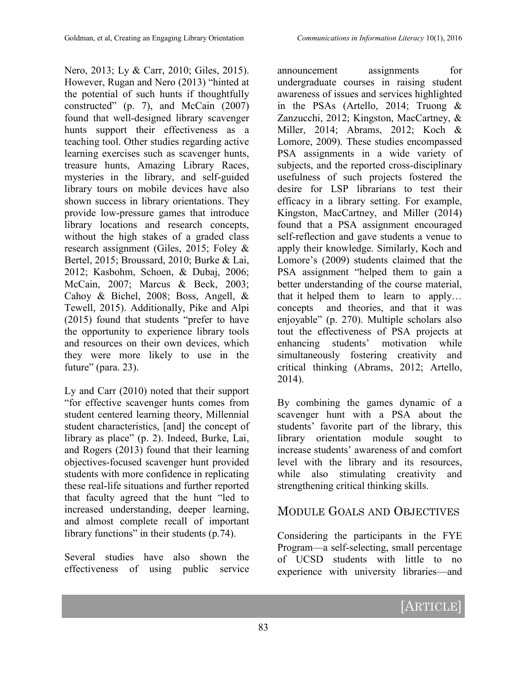Nero, 2013; Ly & Carr, 2010; Giles, 2015). However, Rugan and Nero (2013) "hinted at the potential of such hunts if thoughtfully constructed" (p. 7), and McCain (2007) found that well-designed library scavenger hunts support their effectiveness as a teaching tool. Other studies regarding active learning exercises such as scavenger hunts, treasure hunts, Amazing Library Races, mysteries in the library, and self-guided library tours on mobile devices have also shown success in library orientations. They provide low-pressure games that introduce library locations and research concepts, without the high stakes of a graded class research assignment (Giles, 2015; Foley & Bertel, 2015; Broussard, 2010; Burke & Lai, 2012; Kasbohm, Schoen, & Dubaj, 2006; McCain, 2007; Marcus & Beck, 2003; Cahoy & Bichel, 2008; Boss, Angell, & Tewell, 2015). Additionally, Pike and Alpi (2015) found that students "prefer to have the opportunity to experience library tools and resources on their own devices, which they were more likely to use in the future" (para. 23).

Ly and Carr (2010) noted that their support "for effective scavenger hunts comes from student centered learning theory, Millennial student characteristics, [and] the concept of library as place" (p. 2). Indeed, Burke, Lai, and Rogers (2013) found that their learning objectives-focused scavenger hunt provided students with more confidence in replicating these real-life situations and further reported that faculty agreed that the hunt "led to increased understanding, deeper learning, and almost complete recall of important library functions" in their students (p.74).

Several studies have also shown the effectiveness of using public service

announcement assignments for undergraduate courses in raising student awareness of issues and services highlighted in the PSAs (Artello, 2014; Truong & Zanzucchi, 2012; Kingston, MacCartney, & Miller, 2014; Abrams, 2012; Koch & Lomore, 2009). These studies encompassed PSA assignments in a wide variety of subjects, and the reported cross-disciplinary usefulness of such projects fostered the desire for LSP librarians to test their efficacy in a library setting. For example, Kingston, MacCartney, and Miller (2014) found that a PSA assignment encouraged self-reflection and gave students a venue to apply their knowledge. Similarly, Koch and Lomore's (2009) students claimed that the PSA assignment "helped them to gain a better understanding of the course material, that it helped them to learn to apply… concepts and theories, and that it was enjoyable" (p. 270). Multiple scholars also tout the effectiveness of PSA projects at enhancing students' motivation while simultaneously fostering creativity and critical thinking (Abrams, 2012; Artello, 2014).

By combining the games dynamic of a scavenger hunt with a PSA about the students' favorite part of the library, this library orientation module sought to increase students' awareness of and comfort level with the library and its resources, while also stimulating creativity and strengthening critical thinking skills.

# MODULE GOALS AND OBJECTIVES

Considering the participants in the FYE Program—a self-selecting, small percentage of UCSD students with little to no experience with university libraries—and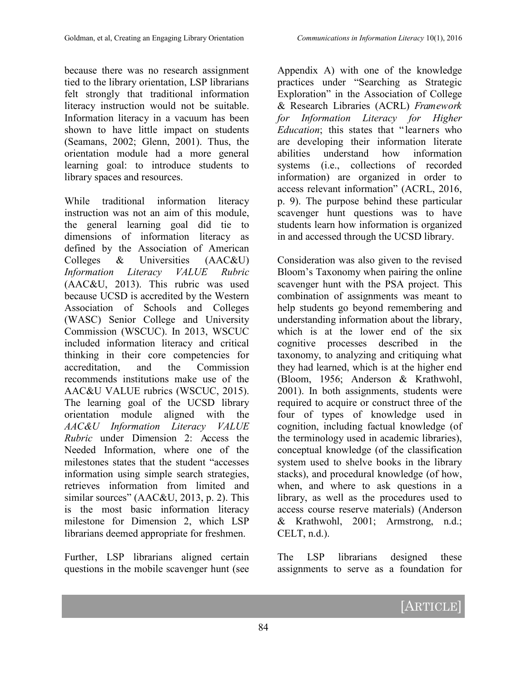because there was no research assignment tied to the library orientation, LSP librarians felt strongly that traditional information literacy instruction would not be suitable. Information literacy in a vacuum has been shown to have little impact on students (Seamans, 2002; Glenn, 2001). Thus, the orientation module had a more general learning goal: to introduce students to library spaces and resources.

While traditional information literacy instruction was not an aim of this module, the general learning goal did tie to dimensions of information literacy as defined by the Association of American Colleges & Universities (AAC&U) *Information Literacy VALUE Rubric* (AAC&U, 2013). This rubric was used because UCSD is accredited by the Western Association of Schools and Colleges (WASC) Senior College and University Commission (WSCUC). In 2013, WSCUC included information literacy and critical thinking in their core competencies for accreditation, and the Commission recommends institutions make use of the AAC&U VALUE rubrics (WSCUC, 2015). The learning goal of the UCSD library orientation module aligned with the *AAC&U Information Literacy VALUE Rubric* under Dimension 2: Access the Needed Information, where one of the milestones states that the student "accesses information using simple search strategies, retrieves information from limited and similar sources" (AAC&U, 2013, p. 2). This is the most basic information literacy milestone for Dimension 2, which LSP librarians deemed appropriate for freshmen.

Further, LSP librarians aligned certain questions in the mobile scavenger hunt (see

Appendix A) with one of the knowledge practices under "Searching as Strategic Exploration" in the Association of College & Research Libraries (ACRL) *Framework for Information Literacy for Higher Education*; this states that "learners who are developing their information literate abilities understand how information systems (i.e., collections of recorded information) are organized in order to access relevant information" (ACRL, 2016, p. 9). The purpose behind these particular scavenger hunt questions was to have students learn how information is organized in and accessed through the UCSD library.

Consideration was also given to the revised Bloom's Taxonomy when pairing the online scavenger hunt with the PSA project. This combination of assignments was meant to help students go beyond remembering and understanding information about the library, which is at the lower end of the six cognitive processes described in the taxonomy, to analyzing and critiquing what they had learned, which is at the higher end (Bloom, 1956; Anderson & Krathwohl, 2001). In both assignments, students were required to acquire or construct three of the four of types of knowledge used in cognition, including factual knowledge (of the terminology used in academic libraries), conceptual knowledge (of the classification system used to shelve books in the library stacks), and procedural knowledge (of how, when, and where to ask questions in a library, as well as the procedures used to access course reserve materials) (Anderson & Krathwohl, 2001; Armstrong, n.d.;  $CELL, n.d.).$ 

The LSP librarians designed these assignments to serve as a foundation for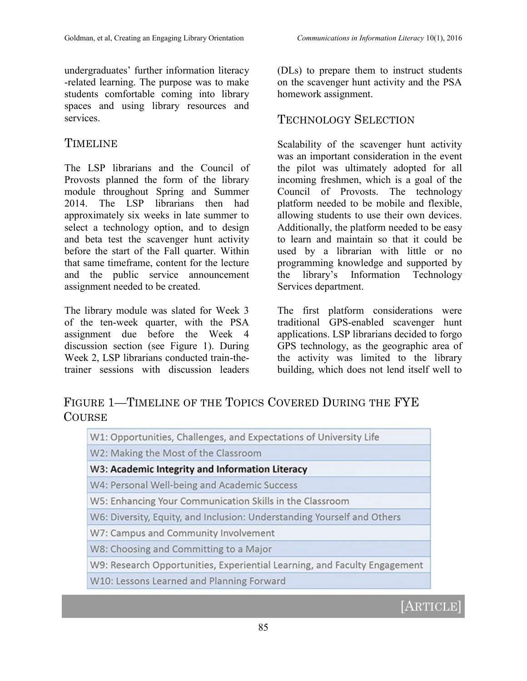undergraduates' further information literacy -related learning. The purpose was to make students comfortable coming into library spaces and using library resources and services.

# TIMELINE

The LSP librarians and the Council of Provosts planned the form of the library module throughout Spring and Summer 2014. The LSP librarians then had approximately six weeks in late summer to select a technology option, and to design and beta test the scavenger hunt activity before the start of the Fall quarter. Within that same timeframe, content for the lecture and the public service announcement assignment needed to be created.

The library module was slated for Week 3 of the ten-week quarter, with the PSA assignment due before the Week 4 discussion section (see Figure 1). During Week 2, LSP librarians conducted train-thetrainer sessions with discussion leaders

(DLs) to prepare them to instruct students on the scavenger hunt activity and the PSA homework assignment.

# TECHNOLOGY SELECTION

Scalability of the scavenger hunt activity was an important consideration in the event the pilot was ultimately adopted for all incoming freshmen, which is a goal of the Council of Provosts. The technology platform needed to be mobile and flexible, allowing students to use their own devices. Additionally, the platform needed to be easy to learn and maintain so that it could be used by a librarian with little or no programming knowledge and supported by the library's Information Technology Services department.

The first platform considerations were traditional GPS-enabled scavenger hunt applications. LSP librarians decided to forgo GPS technology, as the geographic area of the activity was limited to the library building, which does not lend itself well to

# FIGURE 1—TIMELINE OF THE TOPICS COVERED DURING THE FYE **COURSE**

| W1: Opportunities, Challenges, and Expectations of University Life        |
|---------------------------------------------------------------------------|
| W2: Making the Most of the Classroom                                      |
| W3: Academic Integrity and Information Literacy                           |
| W4: Personal Well-being and Academic Success                              |
| W5: Enhancing Your Communication Skills in the Classroom                  |
| W6: Diversity, Equity, and Inclusion: Understanding Yourself and Others   |
| W7: Campus and Community Involvement                                      |
| W8: Choosing and Committing to a Major                                    |
| W9: Research Opportunities, Experiential Learning, and Faculty Engagement |
| W10: Lessons Learned and Planning Forward                                 |

# **[ARTICLE]**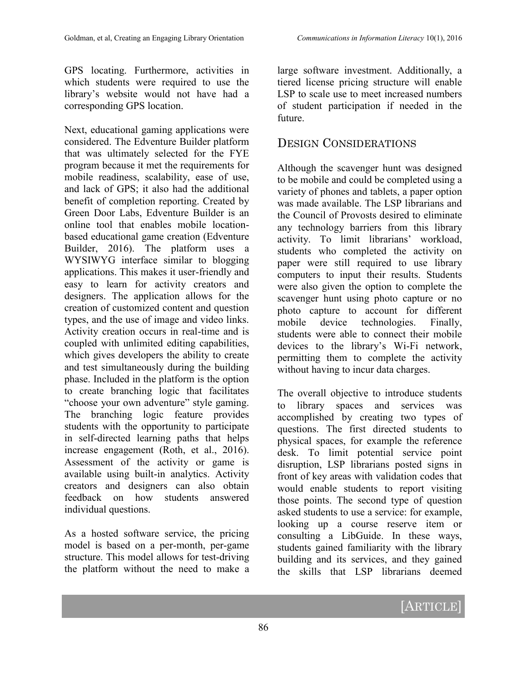GPS locating. Furthermore, activities in which students were required to use the library's website would not have had a corresponding GPS location.

Next, educational gaming applications were considered. The Edventure Builder platform that was ultimately selected for the FYE program because it met the requirements for mobile readiness, scalability, ease of use, and lack of GPS; it also had the additional benefit of completion reporting. Created by Green Door Labs, Edventure Builder is an online tool that enables mobile locationbased educational game creation (Edventure Builder, 2016). The platform uses a WYSIWYG interface similar to blogging applications. This makes it user-friendly and easy to learn for activity creators and designers. The application allows for the creation of customized content and question types, and the use of image and video links. Activity creation occurs in real-time and is coupled with unlimited editing capabilities, which gives developers the ability to create and test simultaneously during the building phase. Included in the platform is the option to create branching logic that facilitates "choose your own adventure" style gaming. The branching logic feature provides students with the opportunity to participate in self-directed learning paths that helps increase engagement (Roth, et al., 2016). Assessment of the activity or game is available using built-in analytics. Activity creators and designers can also obtain feedback on how students answered individual questions.

As a hosted software service, the pricing model is based on a per-month, per-game structure. This model allows for test-driving the platform without the need to make a large software investment. Additionally, a tiered license pricing structure will enable LSP to scale use to meet increased numbers of student participation if needed in the future.

## DESIGN CONSIDERATIONS

Although the scavenger hunt was designed to be mobile and could be completed using a variety of phones and tablets, a paper option was made available. The LSP librarians and the Council of Provosts desired to eliminate any technology barriers from this library activity. To limit librarians' workload, students who completed the activity on paper were still required to use library computers to input their results. Students were also given the option to complete the scavenger hunt using photo capture or no photo capture to account for different mobile device technologies. Finally, students were able to connect their mobile devices to the library's Wi-Fi network, permitting them to complete the activity without having to incur data charges.

The overall objective to introduce students to library spaces and services was accomplished by creating two types of questions. The first directed students to physical spaces, for example the reference desk. To limit potential service point disruption, LSP librarians posted signs in front of key areas with validation codes that would enable students to report visiting those points. The second type of question asked students to use a service: for example, looking up a course reserve item or consulting a LibGuide. In these ways, students gained familiarity with the library building and its services, and they gained the skills that LSP librarians deemed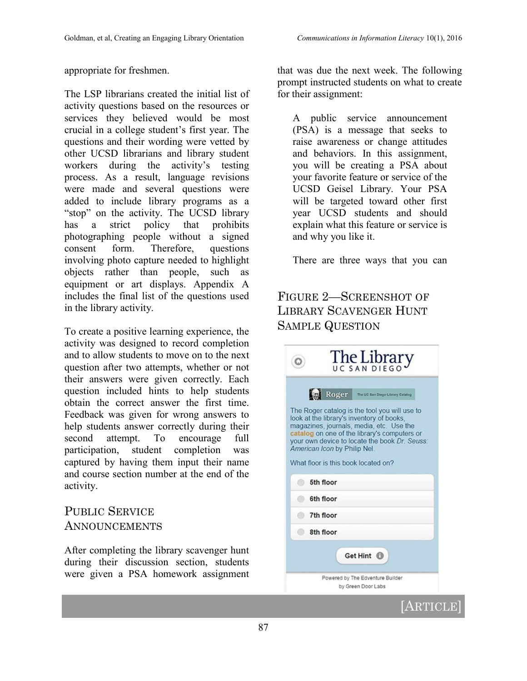appropriate for freshmen.

The LSP librarians created the initial list of activity questions based on the resources or services they believed would be most crucial in a college student's first year. The questions and their wording were vetted by other UCSD librarians and library student workers during the activity's testing process. As a result, language revisions were made and several questions were added to include library programs as a "stop" on the activity. The UCSD library has a strict policy that prohibits photographing people without a signed consent form. Therefore, questions involving photo capture needed to highlight objects rather than people, such as equipment or art displays. Appendix A includes the final list of the questions used in the library activity.

To create a positive learning experience, the activity was designed to record completion and to allow students to move on to the next question after two attempts, whether or not their answers were given correctly. Each question included hints to help students obtain the correct answer the first time. Feedback was given for wrong answers to help students answer correctly during their second attempt. To encourage full participation, student completion was captured by having them input their name and course section number at the end of the activity.

# PUBLIC SERVICE ANNOUNCEMENTS

After completing the library scavenger hunt during their discussion section, students were given a PSA homework assignment

that was due the next week. The following prompt instructed students on what to create for their assignment:

A public service announcement (PSA) is a message that seeks to raise awareness or change attitudes and behaviors. In this assignment, you will be creating a PSA about your favorite feature or service of the UCSD Geisel Library. Your PSA will be targeted toward other first year UCSD students and should explain what this feature or service is and why you like it.

There are three ways that you can

# FIGURE 2—SCREENSHOT OF LIBRARY SCAVENGER HUNT SAMPLE QUESTION

| The Library                                                                                                                                                                                                                                                                                                                                                 |
|-------------------------------------------------------------------------------------------------------------------------------------------------------------------------------------------------------------------------------------------------------------------------------------------------------------------------------------------------------------|
| Roger<br>The UC San Diego Library Catalog<br>The Roger catalog is the tool you will use to<br>look at the library's inventory of books.<br>magazines, journals, media, etc. Use the<br>catalog on one of the library's computers or<br>your own device to locate the book Dr. Seuss:<br>American Icon by Philip Nel.<br>What floor is this book located on? |
| 5th floor<br>6th floor                                                                                                                                                                                                                                                                                                                                      |
| 7th floor<br>8th floor                                                                                                                                                                                                                                                                                                                                      |
| Get Hint <sup>1</sup><br>Powered by The Edventure Builder                                                                                                                                                                                                                                                                                                   |
| by Green Door Labs<br>RTICLE                                                                                                                                                                                                                                                                                                                                |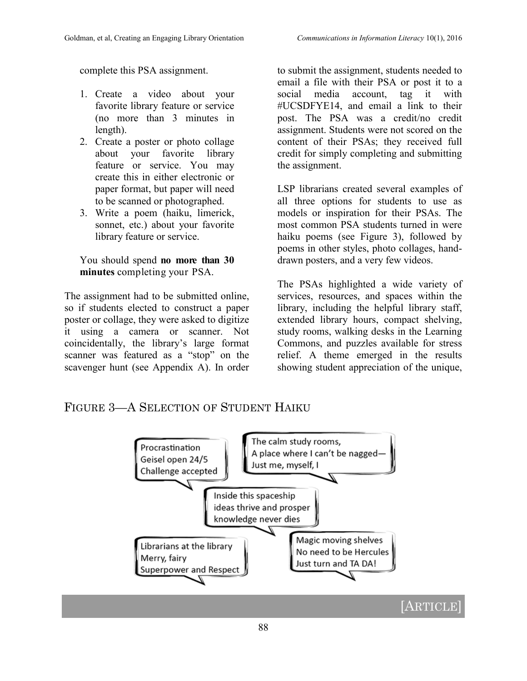complete this PSA assignment.

- 1. Create a video about your favorite library feature or service (no more than 3 minutes in length).
- 2. Create a poster or photo collage about your favorite library feature or service. You may create this in either electronic or paper format, but paper will need to be scanned or photographed.
- 3. Write a poem (haiku, limerick, sonnet, etc.) about your favorite library feature or service.

You should spend **no more than 30 minutes** completing your PSA.

The assignment had to be submitted online, so if students elected to construct a paper poster or collage, they were asked to digitize it using a camera or scanner. Not coincidentally, the library's large format scanner was featured as a "stop" on the scavenger hunt (see Appendix A). In order

to submit the assignment, students needed to email a file with their PSA or post it to a social media account, tag it with #UCSDFYE14, and email a link to their post. The PSA was a credit/no credit assignment. Students were not scored on the content of their PSAs; they received full credit for simply completing and submitting the assignment.

LSP librarians created several examples of all three options for students to use as models or inspiration for their PSAs. The most common PSA students turned in were haiku poems (see Figure 3), followed by poems in other styles, photo collages, handdrawn posters, and a very few videos.

The PSAs highlighted a wide variety of services, resources, and spaces within the library, including the helpful library staff, extended library hours, compact shelving, study rooms, walking desks in the Learning Commons, and puzzles available for stress relief. A theme emerged in the results showing student appreciation of the unique,

## FIGURE 3—A SELECTION OF STUDENT HAIKU

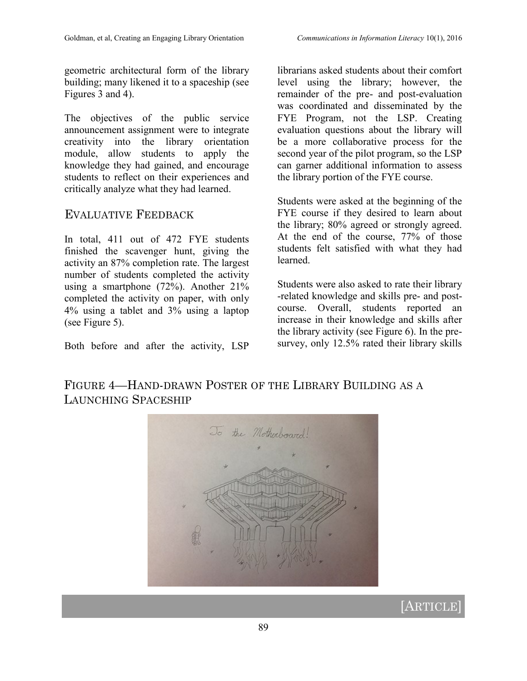geometric architectural form of the library building; many likened it to a spaceship (see Figures 3 and 4).

The objectives of the public service announcement assignment were to integrate creativity into the library orientation module, allow students to apply the knowledge they had gained, and encourage students to reflect on their experiences and critically analyze what they had learned.

#### EVALUATIVE FEEDBACK

In total, 411 out of 472 FYE students finished the scavenger hunt, giving the activity an 87% completion rate. The largest number of students completed the activity using a smartphone (72%). Another 21% completed the activity on paper, with only 4% using a tablet and 3% using a laptop (see Figure 5).

Both before and after the activity, LSP

librarians asked students about their comfort level using the library; however, the remainder of the pre- and post-evaluation was coordinated and disseminated by the FYE Program, not the LSP. Creating evaluation questions about the library will be a more collaborative process for the second year of the pilot program, so the LSP can garner additional information to assess the library portion of the FYE course.

Students were asked at the beginning of the FYE course if they desired to learn about the library; 80% agreed or strongly agreed. At the end of the course, 77% of those students felt satisfied with what they had learned.

Students were also asked to rate their library -related knowledge and skills pre- and postcourse. Overall, students reported an increase in their knowledge and skills after the library activity (see Figure 6). In the presurvey, only 12.5% rated their library skills

FIGURE 4—HAND-DRAWN POSTER OF THE LIBRARY BUILDING AS A LAUNCHING SPACESHIP



# **[ARTICLE]**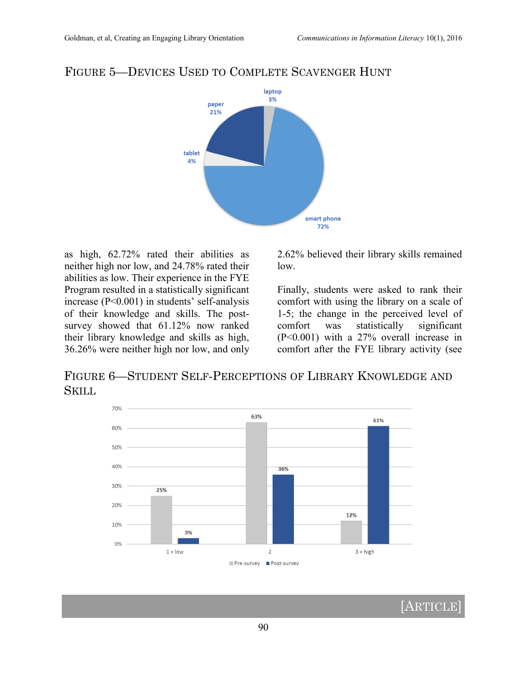

#### FIGURE 5—DEVICES USED TO COMPLETE SCAVENGER HUNT

as high, 62.72% rated their abilities as neither high nor low, and 24.78% rated their abilities as low. Their experience in the FYE Program resulted in a statistically significant increase (P<0.001) in students' self-analysis of their knowledge and skills. The postsurvey showed that 61.12% now ranked their library knowledge and skills as high, 36.26% were neither high nor low, and only

2.62% believed their library skills remained low.

Finally, students were asked to rank their comfort with using the library on a scale of 1-5; the change in the perceived level of comfort was statistically significant (P<0.001) with a 27% overall increase in comfort after the FYE library activity (see

FIGURE 6—STUDENT SELF-PERCEPTIONS OF LIBRARY KNOWLEDGE AND SKILL



[ARTICLE]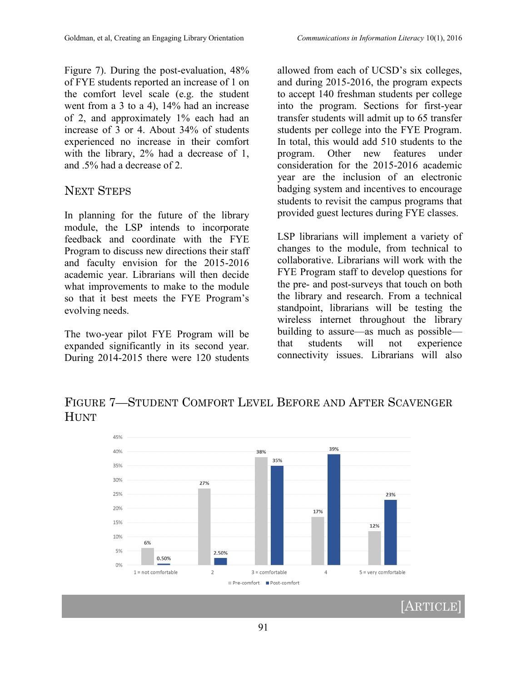Figure 7). During the post-evaluation, 48% of FYE students reported an increase of 1 on the comfort level scale (e.g. the student went from a 3 to a 4), 14% had an increase of 2, and approximately 1% each had an increase of 3 or 4. About 34% of students experienced no increase in their comfort with the library, 2% had a decrease of 1, and .5% had a decrease of 2.

#### NEXT STEPS

In planning for the future of the library module, the LSP intends to incorporate feedback and coordinate with the FYE Program to discuss new directions their staff and faculty envision for the 2015-2016 academic year. Librarians will then decide what improvements to make to the module so that it best meets the FYE Program's evolving needs.

The two-year pilot FYE Program will be expanded significantly in its second year. During 2014-2015 there were 120 students allowed from each of UCSD's six colleges, and during 2015-2016, the program expects to accept 140 freshman students per college into the program. Sections for first-year transfer students will admit up to 65 transfer students per college into the FYE Program. In total, this would add 510 students to the program. Other new features under consideration for the 2015-2016 academic year are the inclusion of an electronic badging system and incentives to encourage students to revisit the campus programs that provided guest lectures during FYE classes.

LSP librarians will implement a variety of changes to the module, from technical to collaborative. Librarians will work with the FYE Program staff to develop questions for the pre- and post-surveys that touch on both the library and research. From a technical standpoint, librarians will be testing the wireless internet throughout the library building to assure—as much as possible that students will not experience connectivity issues. Librarians will also

FIGURE 7—STUDENT COMFORT LEVEL BEFORE AND AFTER SCAVENGER **HUNT** 

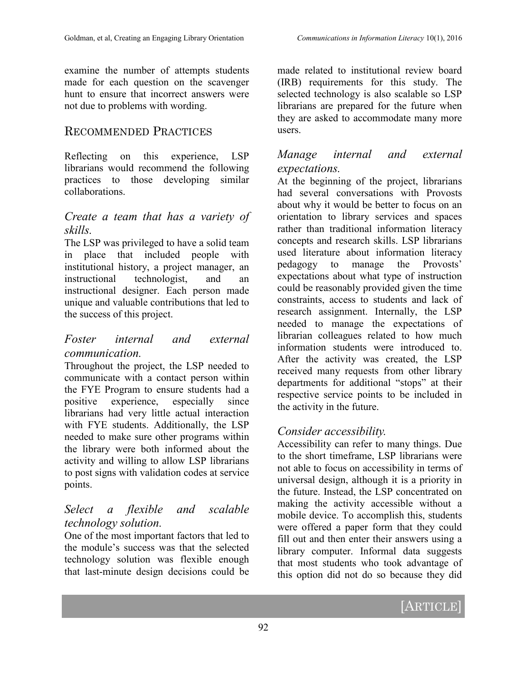examine the number of attempts students made for each question on the scavenger hunt to ensure that incorrect answers were not due to problems with wording.

## RECOMMENDED PRACTICES

Reflecting on this experience, LSP librarians would recommend the following practices to those developing similar collaborations.

#### *Create a team that has a variety of skills.*

The LSP was privileged to have a solid team in place that included people with institutional history, a project manager, an instructional technologist, and an instructional designer. Each person made unique and valuable contributions that led to the success of this project.

#### *Foster internal and external communication.*

Throughout the project, the LSP needed to communicate with a contact person within the FYE Program to ensure students had a positive experience, especially since librarians had very little actual interaction with FYE students. Additionally, the LSP needed to make sure other programs within the library were both informed about the activity and willing to allow LSP librarians to post signs with validation codes at service points.

## *Select a flexible and scalable technology solution.*

One of the most important factors that led to the module's success was that the selected technology solution was flexible enough that last-minute design decisions could be made related to institutional review board (IRB) requirements for this study. The selected technology is also scalable so LSP librarians are prepared for the future when they are asked to accommodate many more users.

## *Manage internal and external expectations.*

At the beginning of the project, librarians had several conversations with Provosts about why it would be better to focus on an orientation to library services and spaces rather than traditional information literacy concepts and research skills. LSP librarians used literature about information literacy pedagogy to manage the Provosts' expectations about what type of instruction could be reasonably provided given the time constraints, access to students and lack of research assignment. Internally, the LSP needed to manage the expectations of librarian colleagues related to how much information students were introduced to. After the activity was created, the LSP received many requests from other library departments for additional "stops" at their respective service points to be included in the activity in the future.

# *Consider accessibility.*

Accessibility can refer to many things. Due to the short timeframe, LSP librarians were not able to focus on accessibility in terms of universal design, although it is a priority in the future. Instead, the LSP concentrated on making the activity accessible without a mobile device. To accomplish this, students were offered a paper form that they could fill out and then enter their answers using a library computer. Informal data suggests that most students who took advantage of this option did not do so because they did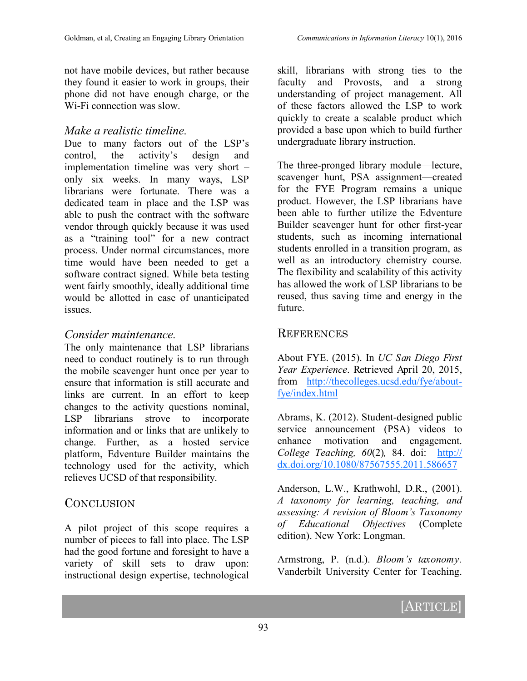not have mobile devices, but rather because they found it easier to work in groups, their phone did not have enough charge, or the Wi-Fi connection was slow.

#### *Make a realistic timeline.*

Due to many factors out of the LSP's control, the activity's design and implementation timeline was very short – only six weeks. In many ways, LSP librarians were fortunate. There was a dedicated team in place and the LSP was able to push the contract with the software vendor through quickly because it was used as a "training tool" for a new contract process. Under normal circumstances, more time would have been needed to get a software contract signed. While beta testing went fairly smoothly, ideally additional time would be allotted in case of unanticipated issues.

#### *Consider maintenance.*

The only maintenance that LSP librarians need to conduct routinely is to run through the mobile scavenger hunt once per year to ensure that information is still accurate and links are current. In an effort to keep changes to the activity questions nominal, LSP librarians strove to incorporate information and or links that are unlikely to change. Further, as a hosted service platform, Edventure Builder maintains the technology used for the activity, which relieves UCSD of that responsibility.

## **CONCLUSION**

A pilot project of this scope requires a number of pieces to fall into place. The LSP had the good fortune and foresight to have a variety of skill sets to draw upon: instructional design expertise, technological skill, librarians with strong ties to the faculty and Provosts, and a strong understanding of project management. All of these factors allowed the LSP to work quickly to create a scalable product which provided a base upon which to build further undergraduate library instruction.

The three-pronged library module—lecture, scavenger hunt, PSA assignment—created for the FYE Program remains a unique product. However, the LSP librarians have been able to further utilize the Edventure Builder scavenger hunt for other first-year students, such as incoming international students enrolled in a transition program, as well as an introductory chemistry course. The flexibility and scalability of this activity has allowed the work of LSP librarians to be reused, thus saving time and energy in the future.

## **REFERENCES**

About FYE. (2015). In *UC San Diego First Year Experience*. Retrieved April 20, 2015, from [http://thecolleges.ucsd.edu/fye/about](http://thecolleges.ucsd.edu/fye/about-fye/index.html)[fye/index.html](http://thecolleges.ucsd.edu/fye/about-fye/index.html)

Abrams, K. (2012). Student-designed public service announcement (PSA) videos to enhance motivation and engagement. *College Teaching, 60*(2)*,* 84. doi: [http://](http://dx.doi.org/10.1080/87567555.2011.586657) [dx.doi.org/10.1080/87567555.2011.586657](http://dx.doi.org/10.1080/87567555.2011.586657)

Anderson, L.W., Krathwohl, D.R., (2001). *A taxonomy for learning, teaching, and assessing: A revision of Bloom's Taxonomy of Educational Objectives* (Complete edition). New York: Longman.

Armstrong, P. (n.d.). *Bloom's taxonomy.* Vanderbilt University Center for Teaching.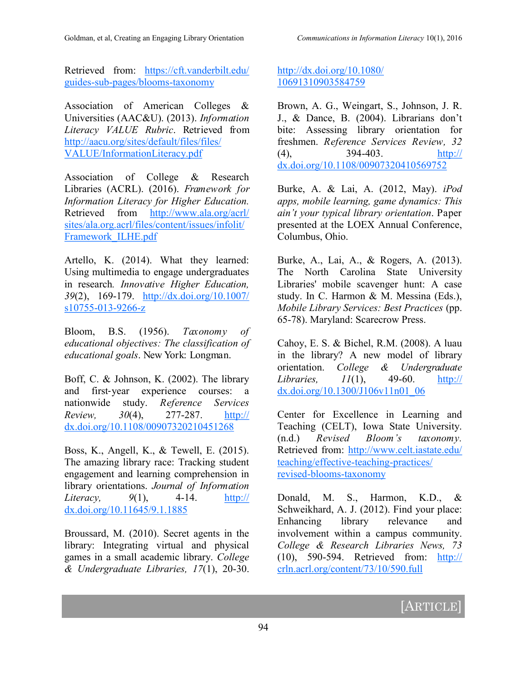Retrieved from: [https://cft.vanderbilt.edu/](https://cft.vanderbilt.edu/guides-sub-pages/blooms-taxonomy) guides-sub-[pages/blooms](https://cft.vanderbilt.edu/guides-sub-pages/blooms-taxonomy)-taxonomy

Association of American Colleges & Universities (AAC&U). (2013). *Information Literacy VALUE Rubric*. Retrieved from [http://aacu.org/sites/default/files/files/](http://aacu.org/sites/default/files/files/VALUE/InformationLiteracy.pdf) [VALUE/InformationLiteracy.pdf](http://aacu.org/sites/default/files/files/VALUE/InformationLiteracy.pdf)

Association of College & Research Libraries (ACRL). (2016). *Framework for Information Literacy for Higher Education.* Retrieved from [http://www.ala.org/acrl/](http://www.ala.org/acrl/sites/ala.org.acrl/files/content/issues/infolit/Framework_ILHE.pdf) [sites/ala.org.acrl/files/content/issues/infolit/](http://www.ala.org/acrl/sites/ala.org.acrl/files/content/issues/infolit/Framework_ILHE.pdf) [Framework\\_ILHE.pdf](http://www.ala.org/acrl/sites/ala.org.acrl/files/content/issues/infolit/Framework_ILHE.pdf)

Artello, K. (2014). What they learned: Using multimedia to engage undergraduates in research*. Innovative Higher Education, 39*(2), 169-179. [http://dx.doi.org/10.1007/](http://dx.doi.org/10.1007/s10755-013-9266-z) [s10755](http://dx.doi.org/10.1007/s10755-013-9266-z)-013-9266-z

Bloom, B.S. (1956). *Taxonomy of educational objectives: The classification of educational goals*. New York: Longman.

Boff, C. & Johnson, K. (2002). The library and first‐year experience courses: a nationwide study. *Reference Services Review, 30*(4), 277-287. [http://](http://dx.doi.org/10.1108/00907320210451268) [dx.doi.org/10.1108/00907320210451268](http://dx.doi.org/10.1108/00907320210451268)

Boss, K., Angell, K., & Tewell, E. (2015). The amazing library race: Tracking student engagement and learning comprehension in library orientations. *Journal of Information Literacy, 9*(1), 4-14. [http://](http://dx.doi.org/10.11645/9.1.1885) [dx.doi.org/10.11645/9.1.1885](http://dx.doi.org/10.11645/9.1.1885)

Broussard, M. (2010). Secret agents in the library: Integrating virtual and physical games in a small academic library. *College & Undergraduate Libraries, 17*(1), 20-30.

#### [http://dx.doi.org/10.1080/](http://dx.doi.org/10.1080/10691310903584759) [10691310903584759](http://dx.doi.org/10.1080/10691310903584759)

Brown, A. G., Weingart, S., Johnson, J. R. J., & Dance, B. (2004). Librarians don't bite: Assessing library orientation for freshmen. *Reference Services Review, 32* (4), 394-403. [http://](http://dx.doi.org/10.1108/00907320410569752) [dx.doi.org/10.1108/00907320410569752](http://dx.doi.org/10.1108/00907320410569752)

Burke, A. & Lai, A. (2012, May). *iPod apps, mobile learning, game dynamics: This ain't your typical library orientation*. Paper presented at the LOEX Annual Conference, Columbus, Ohio.

Burke, A., Lai, A., & Rogers, A. (2013). The North Carolina State University Libraries' mobile scavenger hunt: A case study. In C. Harmon & M. Messina (Eds.), *Mobile Library Services: Best Practices* (pp. 65-78). Maryland: Scarecrow Press.

Cahoy, E. S. & Bichel, R.M. (2008). A luau in the library? A new model of library orientation. *College & Undergraduate Libraries, 11*(1), 49-60. [http://](http://dx.doi.org/10.1300/J106v11n01_06) [dx.doi.org/10.1300/J106v11n01\\_06](http://dx.doi.org/10.1300/J106v11n01_06)

Center for Excellence in Learning and Teaching (CELT), Iowa State University. (n.d.) *Revised Bloom's taxonomy.* Retrieved from: [http://www.celt.iastate.edu/](http://www.celt.iastate.edu/teaching/effective-teaching-practices/revised-blooms-taxonomy) [teaching/effective](http://www.celt.iastate.edu/teaching/effective-teaching-practices/revised-blooms-taxonomy)-teaching-practices/ revised-blooms-[taxonomy](http://www.celt.iastate.edu/teaching/effective-teaching-practices/revised-blooms-taxonomy)

Donald, M. S., Harmon, K.D., & Schweikhard, A. J. (2012). Find your place: Enhancing library relevance and involvement within a campus community. *College & Research Libraries News, 73* (10), 590-594. Retrieved from: [http://](http://crln.acrl.org/content/73/10/590.full) [crln.acrl.org/content/73/10/590.full](http://crln.acrl.org/content/73/10/590.full)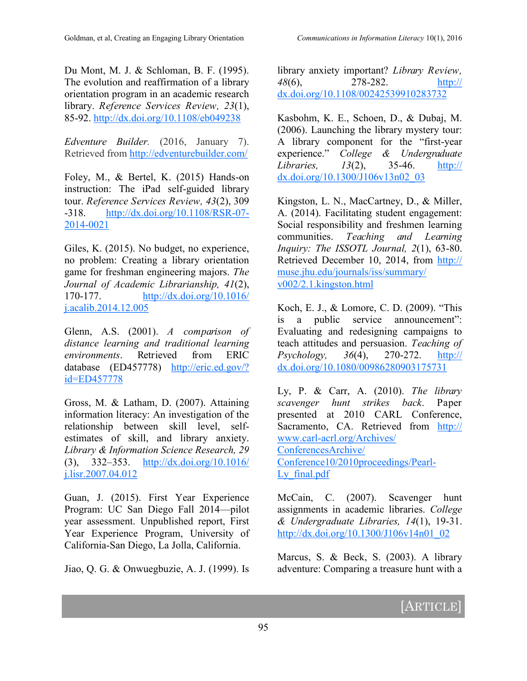Du Mont, M. J. & Schloman, B. F. (1995). The evolution and reaffirmation of a library orientation program in an academic research library. *Reference Services Review, 23*(1), 85-92. <http://dx.doi.org/10.1108/eb049238>

*Edventure Builder.* (2016, January 7). Retrieved from <http://edventurebuilder.com/>

Foley, M., & Bertel, K. (2015) Hands-on instruction: The iPad self-guided library tour. *Reference Services Review, 43*(2), 309 -318. [http://dx.doi.org/10.1108/RSR](http://dx.doi.org/10.1108/RSR-07-2014-0021)-07- 2014-[0021](http://dx.doi.org/10.1108/RSR-07-2014-0021)

Giles, K. (2015). No budget, no experience, no problem: Creating a library orientation game for freshman engineering majors. *The Journal of Academic Librarianship, 41*(2), 170-177. [http://dx.doi.org/10.1016/](http://dx.doi.org/10.1016/j.acalib.2014.12.005) [j.acalib.2014.12.005](http://dx.doi.org/10.1016/j.acalib.2014.12.005)

Glenn, A.S. (2001). *A comparison of distance learning and traditional learning environments*. Retrieved from ERIC database (ED457778) [http://eric.ed.gov/?](http://eric.ed.gov/?id=ED457778) [id=ED457778](http://eric.ed.gov/?id=ED457778)

Gross, M. & Latham, D. (2007). Attaining information literacy: An investigation of the relationship between skill level, selfestimates of skill, and library anxiety. *Library & Information Science Research, 29* (3), 332–353. [http://dx.doi.org/10.1016/](http://dx.doi.org/10.1016/j.lisr.2007.04.012) [j.lisr.2007.04.012](http://dx.doi.org/10.1016/j.lisr.2007.04.012)

Guan, J. (2015). First Year Experience Program: UC San Diego Fall 2014—pilot year assessment. Unpublished report, First Year Experience Program, University of California-San Diego, La Jolla, California.

Jiao, Q. G. & Onwuegbuzie, A. J. (1999). Is

library anxiety important? *Library Review, 48*(6), 278-282. [http://](http://dx.doi.org/10.1108/00242539910283732) [dx.doi.org/10.1108/00242539910283732](http://dx.doi.org/10.1108/00242539910283732)

Kasbohm, K. E., Schoen, D., & Dubaj, M. (2006). Launching the library mystery tour: A library component for the "first-year experience." *College & Undergraduate Libraries, 13*(2), 35-46. [http://](http://dx.doi.org/10.1300/J106v13n02_03) [dx.doi.org/10.1300/J106v13n02\\_03](http://dx.doi.org/10.1300/J106v13n02_03)

Kingston, L. N., MacCartney, D., & Miller, A. (2014). Facilitating student engagement: Social responsibility and freshmen learning communities. *Teaching and Learning Inquiry: The ISSOTL Journal, 2*(1), 63-80. Retrieved December 10, 2014, from [http://](http://muse.jhu.edu/journals/iss/summary/v002/2.1.kingston.html) [muse.jhu.edu/journals/iss/summary/](http://muse.jhu.edu/journals/iss/summary/v002/2.1.kingston.html) [v002/2.1.kingston.html](http://muse.jhu.edu/journals/iss/summary/v002/2.1.kingston.html)

Koch, E. J., & Lomore, C. D. (2009). "This is a public service announcement": Evaluating and redesigning campaigns to teach attitudes and persuasion. *Teaching of Psychology, 36*(4), 270-272. [http://](http://dx.doi.org/10.1080/00986280903175731) [dx.doi.org/10.1080/00986280903175731](http://dx.doi.org/10.1080/00986280903175731)

Ly, P. & Carr, A. (2010). *The library scavenger hunt strikes back*. Paper presented at 2010 CARL Conference, Sacramento, CA. Retrieved from [http://](http://www.carl-acrl.org/Archives/ConferencesArchive/Conference10/2010proceedings/Pearl-Ly_final.pdf) www.carl-[acrl.org/Archives/](http://www.carl-acrl.org/Archives/ConferencesArchive/Conference10/2010proceedings/Pearl-Ly_final.pdf) [ConferencesArchive/](http://www.carl-acrl.org/Archives/ConferencesArchive/Conference10/2010proceedings/Pearl-Ly_final.pdf) [Conference10/2010proceedings/Pearl](http://www.carl-acrl.org/Archives/ConferencesArchive/Conference10/2010proceedings/Pearl-Ly_final.pdf)-Ly final.pdf

McCain, C. (2007). Scavenger hunt assignments in academic libraries. *College & Undergraduate Libraries, 14*(1), 19-31. [http://dx.doi.org/10.1300/J106v14n01\\_02](http://dx.doi.org/10.1300/J106v14n01_02)

Marcus, S. & Beck, S. (2003). A library adventure: Comparing a treasure hunt with a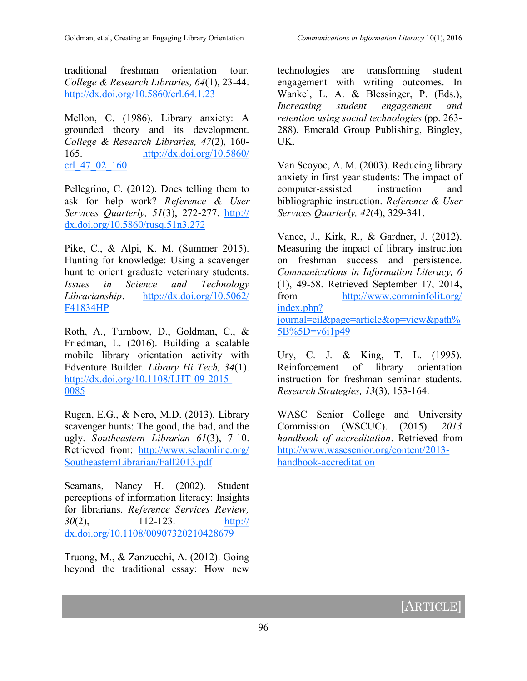traditional freshman orientation tour*. College & Research Libraries, 64*(1), 23-44. <http://dx.doi.org/10.5860/crl.64.1.23>

Mellon, C. (1986). Library anxiety: A grounded theory and its development. *College & Research Libraries, 47*(2), 160- 165. [http://dx.doi.org/10.5860/](http://dx.doi.org/10.5860/crl_47_02_160) [crl\\_47\\_02\\_160](http://dx.doi.org/10.5860/crl_47_02_160)

Pellegrino, C. (2012). Does telling them to ask for help work? *Reference & User Services Quarterly, 51*(3), 272-277. [http://](http://dx.doi.org/10.5860/rusq.51n3.272) [dx.doi.org/10.5860/rusq.51n3.272](http://dx.doi.org/10.5860/rusq.51n3.272)

Pike, C., & Alpi, K. M. (Summer 2015). Hunting for knowledge: Using a scavenger hunt to orient graduate veterinary students. *Issues in Science and Technology Librarianship*. [http://dx.doi.org/10.5062/](http://dx.doi.org/10.5062/F41834HP) [F41834HP](http://dx.doi.org/10.5062/F41834HP)

Roth, A., Turnbow, D., Goldman, C., & Friedman, L. (2016). Building a scalable mobile library orientation activity with Edventure Builder. *Library Hi Tech, 34*(1). [http://dx.doi.org/10.1108/LHT](http://dx.doi.org/10.1108/LHT-09-2015-0085)-09-2015- [0085](http://dx.doi.org/10.1108/LHT-09-2015-0085)

Rugan, E.G., & Nero, M.D. (2013). Library scavenger hunts: The good, the bad, and the ugly. *Southeastern Librarian 61*(3), 7-10. Retrieved from: [http://www.selaonline.org/](http://www.selaonline.org/SoutheasternLibrarian/Fall2013.pdf) [SoutheasternLibrarian/Fall2013.pdf](http://www.selaonline.org/SoutheasternLibrarian/Fall2013.pdf)

Seamans, Nancy H. (2002). Student perceptions of information literacy: Insights for librarians. *Reference Services Review, 30*(2), 112-123. [http://](http://dx.doi.org/10.1108/00907320210428679) [dx.doi.org/10.1108/00907320210428679](http://dx.doi.org/10.1108/00907320210428679)

Truong, M., & Zanzucchi, A. (2012). Going beyond the traditional essay: How new

technologies are transforming student engagement with writing outcomes. In Wankel, L. A. & Blessinger, P. (Eds.), *Increasing student engagement and retention using social technologies* (pp. 263- 288). Emerald Group Publishing, Bingley, UK.

Van Scoyoc, A. M. (2003). Reducing library anxiety in first-year students: The impact of computer-assisted instruction and bibliographic instruction. *Reference & User Services Quarterly, 42*(4), 329-341.

Vance, J., Kirk, R., & Gardner, J. (2012). Measuring the impact of library instruction on freshman success and persistence. *Communications in Information Literacy, 6* (1), 49-58. Retrieved September 17, 2014, from [http://www.comminfolit.org/](http://www.comminfolit.org/index.php?journal=cil&page=article&op=view&path%5B%5D=v6i1p49) [index.php?](http://www.comminfolit.org/index.php?journal=cil&page=article&op=view&path%5B%5D=v6i1p49) [journal=cil&page=article&op=view&path%](http://www.comminfolit.org/index.php?journal=cil&page=article&op=view&path%5B%5D=v6i1p49) [5B%5D=v6i1p49](http://www.comminfolit.org/index.php?journal=cil&page=article&op=view&path%5B%5D=v6i1p49)

Ury, C. J. & King, T. L. (1995). Reinforcement of library orientation instruction for freshman seminar students. *Research Strategies, 13*(3), 153-164.

WASC Senior College and University Commission (WSCUC). (2015). *2013 handbook of accreditation*. Retrieved from [http://www.wascsenior.org/content/2013](http://www.wascsenior.org/content/2013-handbook-accreditation) handbook-[accreditation](http://www.wascsenior.org/content/2013-handbook-accreditation)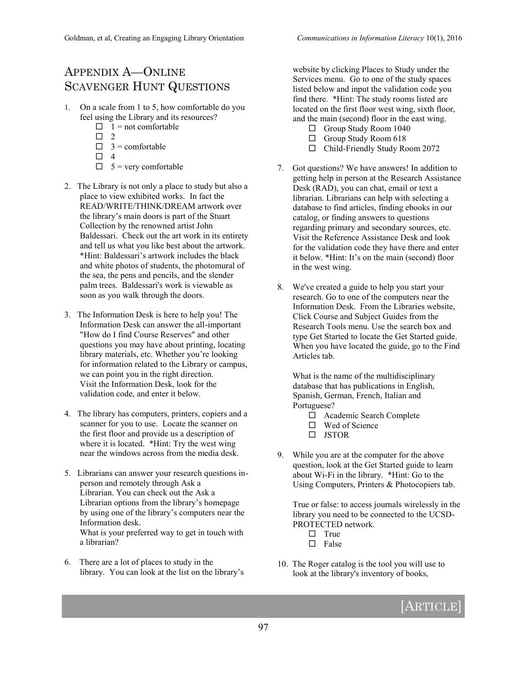# APPENDIX A—ONLINE SCAVENGER HUNT QUESTIONS

- 1. On a scale from 1 to 5, how comfortable do you feel using the Library and its resources?
	- $\Box$  1 = not comfortable
	- $\Box$  2
	- $\Box$  3 = comfortable
	- $\Box$  4
	- $\Box$  5 = very comfortable
- 2. The Library is not only a place to study but also a place to view exhibited works. In fact the READ/WRITE/THINK/DREAM artwork over the library's main doors is part of the Stuart Collection by the renowned artist John Baldessari. Check out the art work in its entirety and tell us what you like best about the artwork. \*Hint: Baldessari's artwork includes the black and white photos of students, the photomural of the sea, the pens and pencils, and the slender palm trees. Baldessari's work is viewable as soon as you walk through the doors.
- 3. The Information Desk is here to help you! The Information Desk can answer the all-important "How do I find Course Reserves" and other questions you may have about printing, locating library materials, etc. Whether you're looking for information related to the Library or campus, we can point you in the right direction. Visit the Information Desk, look for the validation code, and enter it below.
- 4. The library has computers, printers, copiers and a scanner for you to use. Locate the scanner on the first floor and provide us a description of where it is located. \*Hint: Try the west wing near the windows across from the media desk.
- 5. Librarians can answer your research questions inperson and remotely through Ask a Librarian. You can check out the Ask a Librarian options from the library's homepage by using one of the library's computers near the Information desk. What is your preferred way to get in touch with a librarian?
- 6. There are a lot of places to study in the library. You can look at the list on the library's

website by clicking Places to Study under the Services menu. Go to one of the study spaces listed below and input the validation code you find there. \*Hint: The study rooms listed are located on the first floor west wing, sixth floor, and the main (second) floor in the east wing.

- □ Group Study Room 1040
- $\Box$  Group Study Room 618
- □ Child-Friendly Study Room 2072
- 7. Got questions? We have answers! In addition to getting help in person at the Research Assistance Desk (RAD), you can chat, email or text a librarian. Librarians can help with selecting a database to find articles, finding ebooks in our catalog, or finding answers to questions regarding primary and secondary sources, etc. Visit the Reference Assistance Desk and look for the validation code they have there and enter it below. \*Hint: It's on the main (second) floor in the west wing.
- 8. We've created a guide to help you start your research. Go to one of the computers near the Information Desk. From the Libraries website, Click Course and Subject Guides from the Research Tools menu. Use the search box and type Get Started to locate the Get Started guide. When you have located the guide, go to the Find Articles tab.

 What is the name of the multidisciplinary database that has publications in English, Spanish, German, French, Italian and Portuguese?

- Academic Search Complete
- □ Wed of Science
- $\Box$  JSTOR
- 9. While you are at the computer for the above question, look at the Get Started guide to learn about Wi-Fi in the library. \*Hint: Go to the Using Computers, Printers & Photocopiers tab.

True or false: to access journals wirelessly in the library you need to be connected to the UCSD-PROTECTED network.

- $\Box$  True
- $\square$  False
- 10. The Roger catalog is the tool you will use to look at the library's inventory of books,